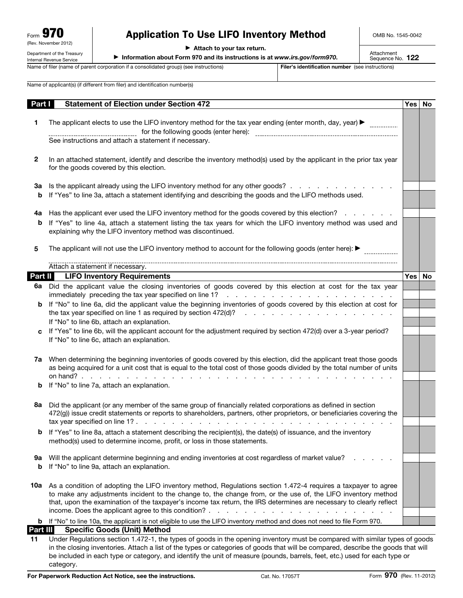Department of the Treasury

# Application To Use LIFO Inventory Method

OMB No. 1545-0042

 $\blacktriangleright$  Attach to your tax return.

▶ Information about Form 970 and its instructions is at *www.irs.gov/form970*.

Attachment<br>Sequence No. **122** 

Internal Revenue Service Name of filer (name of parent corporation if a consolidated group) (see instructions) Filer's identification number (see instructions)

Name of applicant(s) (if different from filer) and identification number(s)

| Part I                | <b>Statement of Election under Section 472</b>                                                                                                                                                                                                                                            | Yes   No |    |
|-----------------------|-------------------------------------------------------------------------------------------------------------------------------------------------------------------------------------------------------------------------------------------------------------------------------------------|----------|----|
|                       |                                                                                                                                                                                                                                                                                           |          |    |
| 1                     | The applicant elects to use the LIFO inventory method for the tax year ending (enter month, day, year) $\blacktriangleright$<br>for the following goods (enter here):                                                                                                                     |          |    |
|                       | See instructions and attach a statement if necessary.                                                                                                                                                                                                                                     |          |    |
|                       |                                                                                                                                                                                                                                                                                           |          |    |
| 2                     | In an attached statement, identify and describe the inventory method(s) used by the applicant in the prior tax year                                                                                                                                                                       |          |    |
|                       | for the goods covered by this election.                                                                                                                                                                                                                                                   |          |    |
| За                    | Is the applicant already using the LIFO inventory method for any other goods?                                                                                                                                                                                                             |          |    |
| b                     | If "Yes" to line 3a, attach a statement identifying and describing the goods and the LIFO methods used.                                                                                                                                                                                   |          |    |
|                       |                                                                                                                                                                                                                                                                                           |          |    |
| 4a<br>b               | Has the applicant ever used the LIFO inventory method for the goods covered by this election?<br>If "Yes" to line 4a, attach a statement listing the tax years for which the LIFO inventory method was used and                                                                           |          |    |
|                       | explaining why the LIFO inventory method was discontinued.                                                                                                                                                                                                                                |          |    |
| 5                     | The applicant will not use the LIFO inventory method to account for the following goods (enter here): ▶                                                                                                                                                                                   |          |    |
|                       | Attach a statement if necessary.                                                                                                                                                                                                                                                          |          |    |
| Part II               | <b>LIFO Inventory Requirements</b>                                                                                                                                                                                                                                                        | Yes      | No |
| 6а                    | Did the applicant value the closing inventories of goods covered by this election at cost for the tax year                                                                                                                                                                                |          |    |
|                       | immediately preceding the tax year specified on line 1?<br>design and a state of the contract of the contract of the contract of the contract of the contract of the contract of the contract of the contract of the contract of the contract of the contract of the contract of the cont |          |    |
| b                     | If "No" to line 6a, did the applicant value the beginning inventories of goods covered by this election at cost for                                                                                                                                                                       |          |    |
|                       |                                                                                                                                                                                                                                                                                           |          |    |
| C.                    | If "No" to line 6b, attach an explanation.<br>If "Yes" to line 6b, will the applicant account for the adjustment required by section 472(d) over a 3-year period?                                                                                                                         |          |    |
|                       | If "No" to line 6c, attach an explanation.                                                                                                                                                                                                                                                |          |    |
|                       |                                                                                                                                                                                                                                                                                           |          |    |
|                       | 7a When determining the beginning inventories of goods covered by this election, did the applicant treat those goods                                                                                                                                                                      |          |    |
|                       | as being acquired for a unit cost that is equal to the total cost of those goods divided by the total number of units                                                                                                                                                                     |          |    |
| b                     | on hand? $\ldots$<br>the contract of the contract of the contract of the contract of the contract of the contract of the contract of<br>and a state<br>If "No" to line 7a, attach an explanation.                                                                                         |          |    |
|                       |                                                                                                                                                                                                                                                                                           |          |    |
| 8а                    | Did the applicant (or any member of the same group of financially related corporations as defined in section                                                                                                                                                                              |          |    |
|                       |                                                                                                                                                                                                                                                                                           |          |    |
|                       | 472(g)) issue credit statements or reports to shareholders, partners, other proprietors, or beneficiaries covering the                                                                                                                                                                    |          |    |
|                       |                                                                                                                                                                                                                                                                                           |          |    |
|                       | If "Yes" to line 8a, attach a statement describing the recipient(s), the date(s) of issuance, and the inventory                                                                                                                                                                           |          |    |
|                       | method(s) used to determine income, profit, or loss in those statements.                                                                                                                                                                                                                  |          |    |
| 9а                    | Will the applicant determine beginning and ending inventories at cost regardless of market value?                                                                                                                                                                                         |          |    |
| b                     | If "No" to line 9a, attach an explanation.                                                                                                                                                                                                                                                |          |    |
|                       |                                                                                                                                                                                                                                                                                           |          |    |
| 10a                   | As a condition of adopting the LIFO inventory method, Regulations section 1.472-4 requires a taxpayer to agree                                                                                                                                                                            |          |    |
|                       | to make any adjustments incident to the change to, the change from, or the use of, the LIFO inventory method                                                                                                                                                                              |          |    |
|                       | that, upon the examination of the taxpayer's income tax return, the IRS determines are necessary to clearly reflect<br>income. Does the applicant agree to this condition?                                                                                                                |          |    |
|                       | b If "No" to line 10a, the applicant is not eligible to use the LIFO inventory method and does not need to file Form 970.                                                                                                                                                                 |          |    |
| <u>Part III</u><br>11 | <b>Specific Goods (Unit) Method</b><br>Under Regulations section 1.472-1, the types of goods in the opening inventory must be compared with similar types of goods                                                                                                                        |          |    |

be included in each type or category, and identify the unit of measure (pounds, barrels, feet, etc.) used for each type or

category.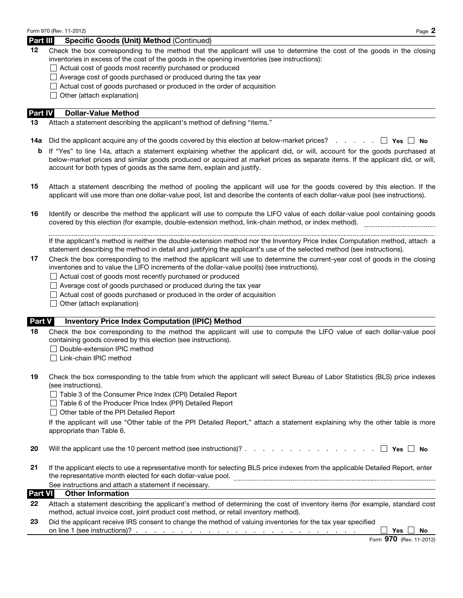#### Part III Specific Goods (Unit) Method (Continued)

12 Check the box corresponding to the method that the applicant will use to determine the cost of the goods in the closing inventories in excess of the cost of the goods in the opening inventories (see instructions):

- □ Actual cost of goods most recently purchased or produced
- $\Box$  Average cost of goods purchased or produced during the tax year
- $\Box$  Actual cost of goods purchased or produced in the order of acquisition
- $\Box$  Other (attach explanation)

#### Part **IV** Dollar-Value Method

- 13 Attach a statement describing the applicant's method of defining "items."
- **14a** Did the applicant acquire any of the goods covered by this election at below-market prices? . . . . .  $\Box$  Yes  $\Box$  No
	- b If "Yes" to line 14a, attach a statement explaining whether the applicant did, or will, account for the goods purchased at below-market prices and similar goods produced or acquired at market prices as separate items. If the applicant did, or will, account for both types of goods as the same item, explain and justify.
- 15 Attach a statement describing the method of pooling the applicant will use for the goods covered by this election. If the applicant will use more than one dollar-value pool, list and describe the contents of each dollar-value pool (see instructions).
- 16 Identify or describe the method the applicant will use to compute the LIFO value of each dollar-value pool containing goods covered by this election (for example, double-extension method, link-chain method, or index method).

If the applicant's method is neither the double-extension method nor the Inventory Price Index Computation method, attach a statement describing the method in detail and justifying the applicant's use of the selected method (see instructions).

- 17 Check the box corresponding to the method the applicant will use to determine the current-year cost of goods in the closing inventories and to value the LIFO increments of the dollar-value pool(s) (see instructions).
	- $\Box$  Actual cost of goods most recently purchased or produced
	- $\Box$  Average cost of goods purchased or produced during the tax year
	- $\Box$  Actual cost of goods purchased or produced in the order of acquisition
	- $\Box$  Other (attach explanation)

#### Part V Inventory Price Index Computation (IPIC) Method

- 18 Check the box corresponding to the method the applicant will use to compute the LIFO value of each dollar-value pool containing goods covered by this election (see instructions).
	- $\Box$  Double-extension IPIC method
	- □ Link-chain IPIC method
- 19 Check the box corresponding to the table from which the applicant will select Bureau of Labor Statistics (BLS) price indexes (see instructions).
	- □ Table 3 of the Consumer Price Index (CPI) Detailed Report
	- Table 6 of the Producer Price Index (PPI) Detailed Report
	- □ Other table of the PPI Detailed Report

If the applicant will use "Other table of the PPI Detailed Report," attach a statement explaining why the other table is more appropriate than Table 6.

- 20 Will the applicant use the 10 percent method (see instructions)? . . . . . . . . . . . . . . . Yes No
- 21 If the applicant elects to use a representative month for selecting BLS price indexes from the applicable Detailed Report, enter the representative month elected for each dollar-value pool. See instructions and attach a statement if necessary.

# Part VI Other Information

| 22 Attach a statement describing the applicant's method of determining the cost of inventory items (for example, standard cost |
|--------------------------------------------------------------------------------------------------------------------------------|
| method, actual invoice cost, joint product cost method, or retail inventory method).                                           |

23 Did the applicant receive IRS consent to change the method of valuing inventories for the tax year specified on line 1 (see instructions)? . . . . . . . . . . . . . . . . . . . . . . . . . Yes No

|  | Form 970 (Rev. 11-2012) |
|--|-------------------------|
|--|-------------------------|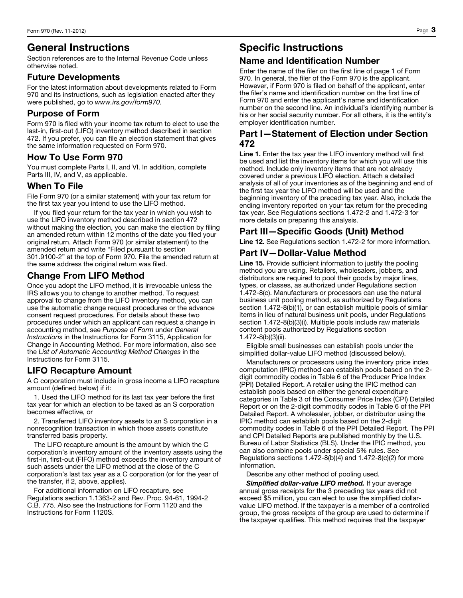# General Instructions

Section references are to the Internal Revenue Code unless otherwise noted.

### Future Developments

For the latest information about developments related to Form 970 and its instructions, such as legislation enacted after they were published, go to *www.irs.gov/form970.*

# Purpose of Form

Form 970 is filed with your income tax return to elect to use the last-in, first-out (LIFO) inventory method described in section 472. If you prefer, you can file an election statement that gives the same information requested on Form 970.

# How To Use Form 970

You must complete Parts I, II, and VI. In addition, complete Parts III, IV, and V, as applicable.

## When To File

File Form 970 (or a similar statement) with your tax return for the first tax year you intend to use the LIFO method.

If you filed your return for the tax year in which you wish to use the LIFO inventory method described in section 472 without making the election, you can make the election by filing an amended return within 12 months of the date you filed your original return. Attach Form 970 (or similar statement) to the amended return and write "Filed pursuant to section 301.9100-2" at the top of Form 970. File the amended return at the same address the original return was filed.

# Change From LIFO Method

Once you adopt the LIFO method, it is irrevocable unless the IRS allows you to change to another method. To request approval to change from the LIFO inventory method, you can use the automatic change request procedures or the advance consent request procedures. For details about these two procedures under which an applicant can request a change in accounting method, see *Purpose of Form* under *General Instructions* in the Instructions for Form 3115, Application for Change in Accounting Method. For more information, also see the *List of Automatic Accounting Method Changes* in the Instructions for Form 3115.

## LIFO Recapture Amount

A C corporation must include in gross income a LIFO recapture amount (defined below) if it:

1. Used the LIFO method for its last tax year before the first tax year for which an election to be taxed as an S corporation becomes effective, or

2. Transferred LIFO inventory assets to an S corporation in a nonrecognition transaction in which those assets constitute transferred basis property.

The LIFO recapture amount is the amount by which the C corporation's inventory amount of the inventory assets using the first-in, first-out (FIFO) method exceeds the inventory amount of such assets under the LIFO method at the close of the C corporation's last tax year as a C corporation (or for the year of the transfer, if 2, above, applies).

For additional information on LIFO recapture, see Regulations section 1.1363-2 and Rev. Proc. 94-61, 1994-2 C.B. 775. Also see the Instructions for Form 1120 and the Instructions for Form 1120S.

# Specific Instructions

# Name and Identification Number

Enter the name of the filer on the first line of page 1 of Form 970. In general, the filer of the Form 970 is the applicant. However, if Form 970 is filed on behalf of the applicant, enter the filer's name and identification number on the first line of Form 970 and enter the applicant's name and identification number on the second line. An individual's identifying number is his or her social security number. For all others, it is the entity's employer identification number.

# Part I—Statement of Election under Section 472

Line 1. Enter the tax year the LIFO inventory method will first be used and list the inventory items for which you will use this method. Include only inventory items that are not already covered under a previous LIFO election. Attach a detailed analysis of all of your inventories as of the beginning and end of the first tax year the LIFO method will be used and the beginning inventory of the preceding tax year. Also, include the ending inventory reported on your tax return for the preceding tax year. See Regulations sections 1.472-2 and 1.472-3 for more details on preparing this analysis.

# Part III—Specific Goods (Unit) Method

Line 12. See Regulations section 1.472-2 for more information.

# Part IV—Dollar-Value Method

Line 15. Provide sufficient information to justify the pooling method you are using. Retailers, wholesalers, jobbers, and distributors are required to pool their goods by major lines, types, or classes, as authorized under Regulations section 1.472-8(c). Manufacturers or processors can use the natural business unit pooling method, as authorized by Regulations section 1.472-8(b)(1), or can establish multiple pools of similar items in lieu of natural business unit pools, under Regulations section 1.472-8(b)(3)(i). Multiple pools include raw materials content pools authorized by Regulations section 1.472-8(b)(3)(ii).

Eligible small businesses can establish pools under the simplified dollar-value LIFO method (discussed below).

Manufacturers or processors using the inventory price index computation (IPIC) method can establish pools based on the 2 digit commodity codes in Table 6 of the Producer Price Index (PPI) Detailed Report. A retailer using the IPIC method can establish pools based on either the general expenditure categories in Table 3 of the Consumer Price Index (CPI) Detailed Report or on the 2-digit commodity codes in Table 6 of the PPI Detailed Report. A wholesaler, jobber, or distributor using the IPIC method can establish pools based on the 2-digit commodity codes in Table 6 of the PPI Detailed Report. The PPI and CPI Detailed Reports are published monthly by the U.S. Bureau of Labor Statistics (BLS). Under the IPIC method, you can also combine pools under special 5% rules. See Regulations sections 1.472-8(b)(4) and 1.472-8(c)(2) for more information.

Describe any other method of pooling used.

*Simplified dollar-value LIFO method.* If your average annual gross receipts for the 3 preceding tax years did not exceed \$5 million, you can elect to use the simplified dollarvalue LIFO method. If the taxpayer is a member of a controlled group, the gross receipts of the group are used to determine if the taxpayer qualifies. This method requires that the taxpayer